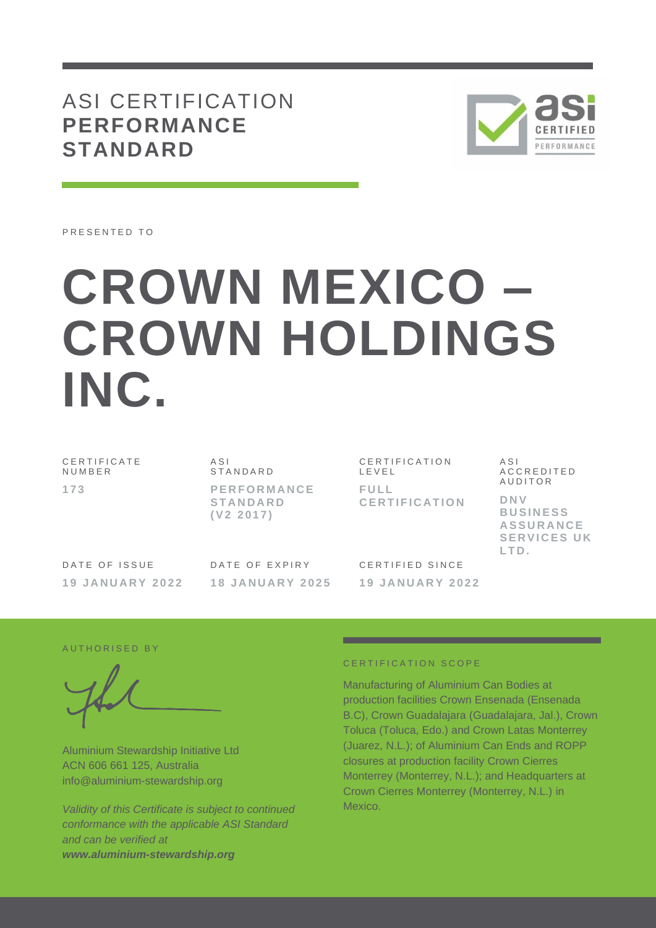# ASI CERTIFICATION **PERFORMANCE STANDARD**



PRESENTED TO

# **CROWN MEXICO – CROWN HOLDINGS INC.**

C E R T I F I C A T E **NUMBER 1 7 3**

A S I **STANDARD P E R F O R M A N C E S T A N D A R D ( V 2 2 0 1 7 )**

C E R T I F I C A T I O N L E V E L **F U L L C E R T I F I C A T I O N**

A C C R E D I T E D **AUDITOR D N V B U S I N E S S** 

 $A S I$ 

**A S S U R A N C E SERVICES UK L T D .**

DATE OF ISSUE **19 J A N U A R Y 202 2** DATE OF EXPIRY **1 8 J A N U A R Y 2 0 2 5**

CERTIFIED SINCE **1 9 J A N U A R Y 2 0 2 2**

AUTHORISED BY

Aluminium Stewardship Initiative Ltd ACN 606 661 125, Australia info@aluminium-stewardship.org

*Validity of this Certificate is subject to continued conformance with the applicable ASI Standard and can be verified at www.aluminium-stewardship.org*

#### CERTIFICATION SCOPE

Manufacturing of Aluminium Can Bodies at production facilities Crown Ensenada (Ensenada B.C), Crown Guadalajara (Guadalajara, Jal.), Crown Toluca (Toluca, Edo.) and Crown Latas Monterrey (Juarez, N.L.); of Aluminium Can Ends and ROPP closures at production facility Crown Cierres Monterrey (Monterrey, N.L.); and Headquarters at Crown Cierres Monterrey (Monterrey, N.L.) in Mexico.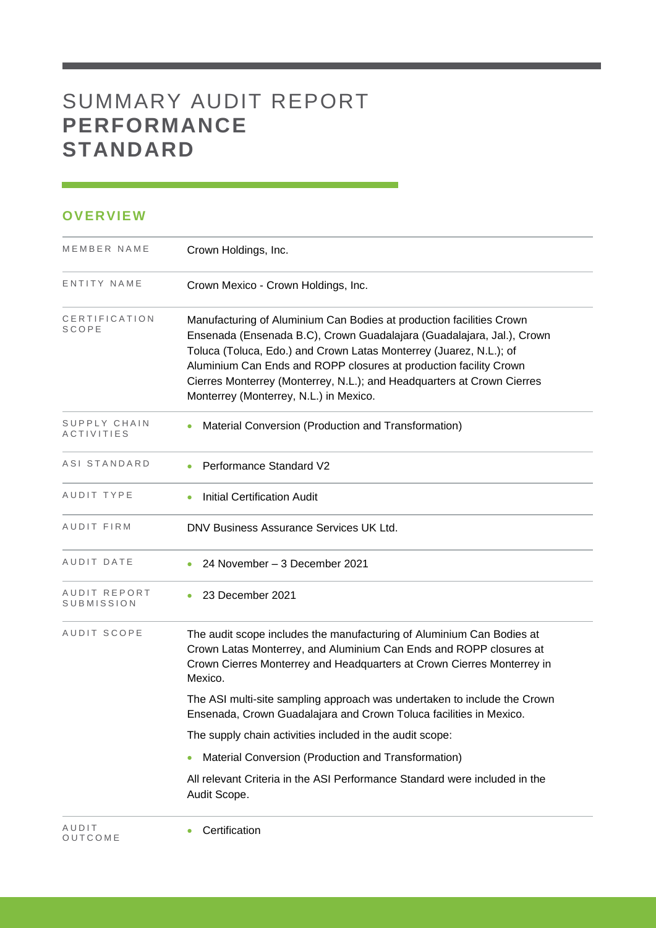# SUMMARY AUDIT REPORT **PERFORMANCE STANDARD**

## **OVERVIEW**

O U T C O M E

| MEMBER NAME                       | Crown Holdings, Inc.                                                                                                                                                                                                                                                                                                                                                                                         |
|-----------------------------------|--------------------------------------------------------------------------------------------------------------------------------------------------------------------------------------------------------------------------------------------------------------------------------------------------------------------------------------------------------------------------------------------------------------|
| ENTITY NAME                       | Crown Mexico - Crown Holdings, Inc.                                                                                                                                                                                                                                                                                                                                                                          |
| CERTIFICATION<br>SCOPE            | Manufacturing of Aluminium Can Bodies at production facilities Crown<br>Ensenada (Ensenada B.C), Crown Guadalajara (Guadalajara, Jal.), Crown<br>Toluca (Toluca, Edo.) and Crown Latas Monterrey (Juarez, N.L.); of<br>Aluminium Can Ends and ROPP closures at production facility Crown<br>Cierres Monterrey (Monterrey, N.L.); and Headquarters at Crown Cierres<br>Monterrey (Monterrey, N.L.) in Mexico. |
| SUPPLY CHAIN<br><b>ACTIVITIES</b> | Material Conversion (Production and Transformation)                                                                                                                                                                                                                                                                                                                                                          |
| ASI STANDARD                      | Performance Standard V2                                                                                                                                                                                                                                                                                                                                                                                      |
| AUDIT TYPE                        | <b>Initial Certification Audit</b>                                                                                                                                                                                                                                                                                                                                                                           |
| AUDIT FIRM                        | DNV Business Assurance Services UK Ltd.                                                                                                                                                                                                                                                                                                                                                                      |
| AUDIT DATE                        | 24 November - 3 December 2021                                                                                                                                                                                                                                                                                                                                                                                |
| AUDIT REPORT<br>SUBMISSION        | 23 December 2021                                                                                                                                                                                                                                                                                                                                                                                             |
| AUDIT SCOPE                       | The audit scope includes the manufacturing of Aluminium Can Bodies at<br>Crown Latas Monterrey, and Aluminium Can Ends and ROPP closures at<br>Crown Cierres Monterrey and Headquarters at Crown Cierres Monterrey in<br>Mexico.                                                                                                                                                                             |
|                                   | The ASI multi-site sampling approach was undertaken to include the Crown<br>Ensenada, Crown Guadalajara and Crown Toluca facilities in Mexico.                                                                                                                                                                                                                                                               |
|                                   | The supply chain activities included in the audit scope:                                                                                                                                                                                                                                                                                                                                                     |
|                                   | Material Conversion (Production and Transformation)                                                                                                                                                                                                                                                                                                                                                          |
|                                   | All relevant Criteria in the ASI Performance Standard were included in the<br>Audit Scope.                                                                                                                                                                                                                                                                                                                   |
| AUDIT                             | Certification<br>۰                                                                                                                                                                                                                                                                                                                                                                                           |

and the control of the control of the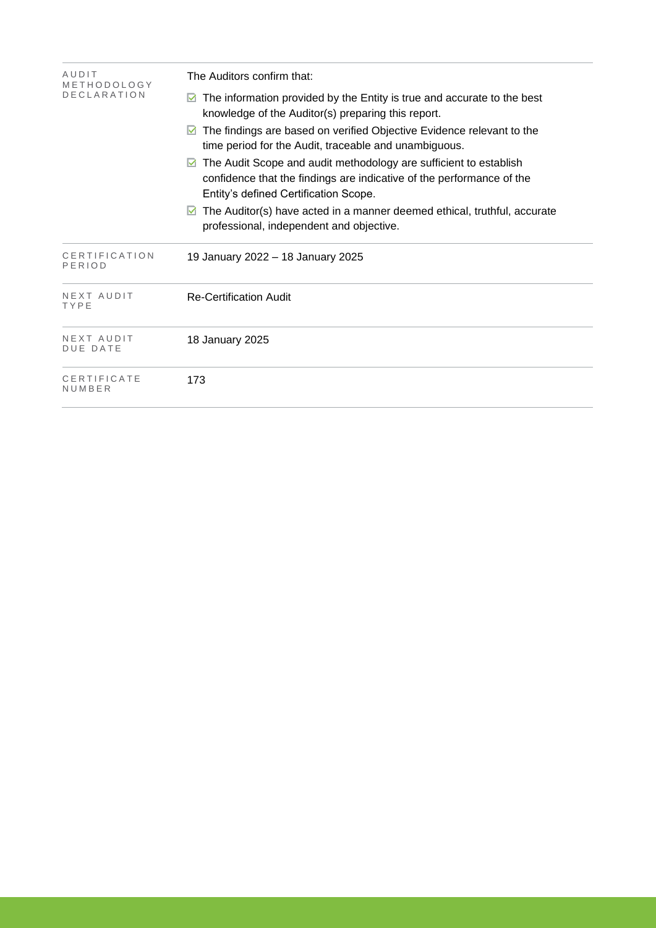| AUDIT<br>METHODOLOGY<br><b>DECLARATION</b> | The Auditors confirm that:                                                                                                                                                               |  |  |  |  |
|--------------------------------------------|------------------------------------------------------------------------------------------------------------------------------------------------------------------------------------------|--|--|--|--|
|                                            | The information provided by the Entity is true and accurate to the best<br>M<br>knowledge of the Auditor(s) preparing this report.                                                       |  |  |  |  |
|                                            | The findings are based on verified Objective Evidence relevant to the<br>M<br>time period for the Audit, traceable and unambiguous.                                                      |  |  |  |  |
|                                            | The Audit Scope and audit methodology are sufficient to establish<br>M<br>confidence that the findings are indicative of the performance of the<br>Entity's defined Certification Scope. |  |  |  |  |
|                                            | The Auditor(s) have acted in a manner deemed ethical, truthful, accurate<br>M<br>professional, independent and objective.                                                                |  |  |  |  |
| CERTIFICATION<br>PERIOD                    | 19 January 2022 - 18 January 2025                                                                                                                                                        |  |  |  |  |
| NEXT AUDIT<br>TYPE                         | <b>Re-Certification Audit</b>                                                                                                                                                            |  |  |  |  |
| NEXT AUDIT<br><b>DUE DATE</b>              | 18 January 2025                                                                                                                                                                          |  |  |  |  |
| CERTIFICATE<br>NUMBER                      | 173                                                                                                                                                                                      |  |  |  |  |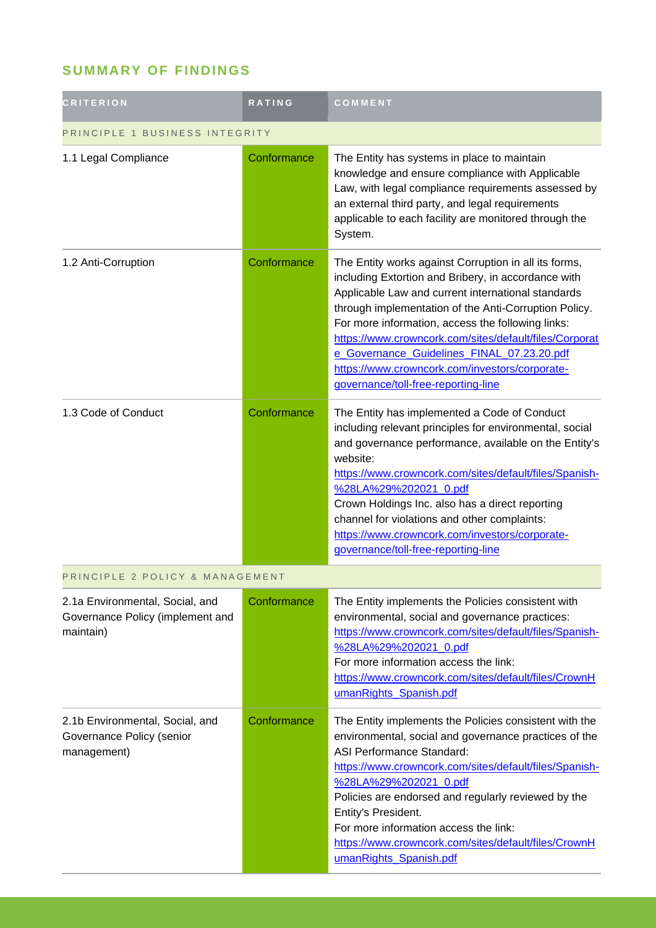## **SUMMARY OF FINDINGS**

| <b>CRITERION</b>                                                                 | <b>RATING</b> | COMMENT                                                                                                                                                                                                                                                                                                                                                                                                                                                                           |  |
|----------------------------------------------------------------------------------|---------------|-----------------------------------------------------------------------------------------------------------------------------------------------------------------------------------------------------------------------------------------------------------------------------------------------------------------------------------------------------------------------------------------------------------------------------------------------------------------------------------|--|
| PRINCIPLE 1 BUSINESS INTEGRITY                                                   |               |                                                                                                                                                                                                                                                                                                                                                                                                                                                                                   |  |
| 1.1 Legal Compliance                                                             | Conformance   | The Entity has systems in place to maintain<br>knowledge and ensure compliance with Applicable<br>Law, with legal compliance requirements assessed by<br>an external third party, and legal requirements<br>applicable to each facility are monitored through the<br>System.                                                                                                                                                                                                      |  |
| 1.2 Anti-Corruption                                                              | Conformance   | The Entity works against Corruption in all its forms,<br>including Extortion and Bribery, in accordance with<br>Applicable Law and current international standards<br>through implementation of the Anti-Corruption Policy.<br>For more information, access the following links:<br>https://www.crowncork.com/sites/default/files/Corporat<br>e_Governance_Guidelines_FINAL_07.23.20.pdf<br>https://www.crowncork.com/investors/corporate-<br>governance/toll-free-reporting-line |  |
| 1.3 Code of Conduct                                                              | Conformance   | The Entity has implemented a Code of Conduct<br>including relevant principles for environmental, social<br>and governance performance, available on the Entity's<br>website:<br>https://www.crowncork.com/sites/default/files/Spanish-<br>%28LA%29%202021_0.pdf<br>Crown Holdings Inc. also has a direct reporting<br>channel for violations and other complaints:<br>https://www.crowncork.com/investors/corporate-<br>governance/toll-free-reporting-line                       |  |
| PRINCIPLE 2 POLICY & MANAGEMENT                                                  |               |                                                                                                                                                                                                                                                                                                                                                                                                                                                                                   |  |
| 2.1a Environmental, Social, and<br>Governance Policy (implement and<br>maintain) | Conformance   | The Entity implements the Policies consistent with<br>environmental, social and governance practices:<br>https://www.crowncork.com/sites/default/files/Spanish-<br>%28LA%29%202021 0.pdf<br>For more information access the link:<br>https://www.crowncork.com/sites/default/files/CrownH<br>umanRights_Spanish.pdf                                                                                                                                                               |  |
| 2.1b Environmental, Social, and<br>Governance Policy (senior<br>management)      | Conformance   | The Entity implements the Policies consistent with the<br>environmental, social and governance practices of the<br>ASI Performance Standard:<br>https://www.crowncork.com/sites/default/files/Spanish-<br>%28LA%29%202021_0.pdf<br>Policies are endorsed and regularly reviewed by the<br>Entity's President.<br>For more information access the link:<br>https://www.crowncork.com/sites/default/files/CrownH<br>umanRights_Spanish.pdf                                          |  |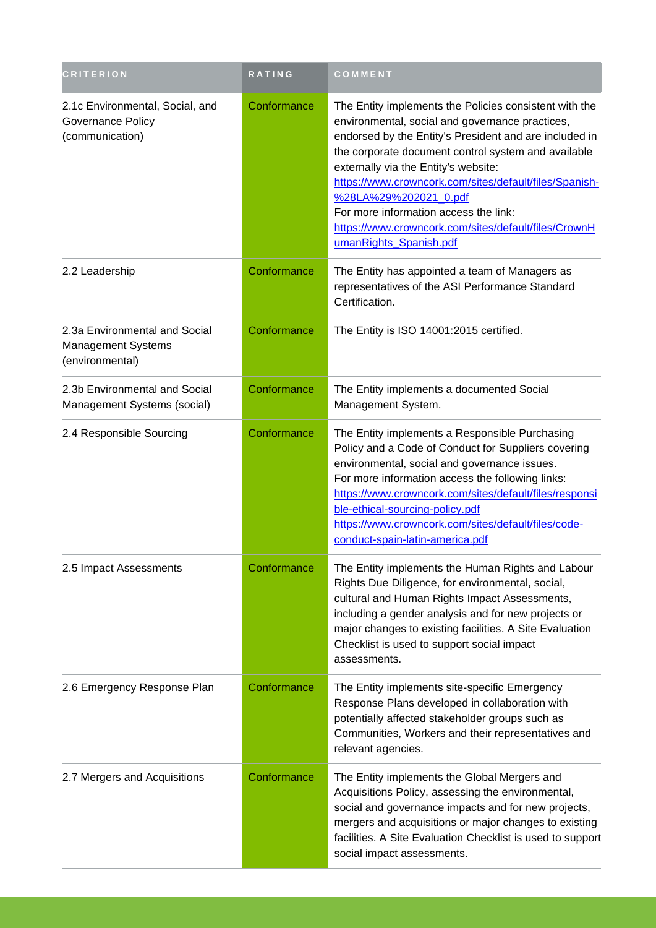| <b>CRITERION</b>                                                        | <b>RATING</b> | COMMENT                                                                                                                                                                                                                                                                                                                                                                                                                                                                          |
|-------------------------------------------------------------------------|---------------|----------------------------------------------------------------------------------------------------------------------------------------------------------------------------------------------------------------------------------------------------------------------------------------------------------------------------------------------------------------------------------------------------------------------------------------------------------------------------------|
| 2.1c Environmental, Social, and<br>Governance Policy<br>(communication) | Conformance   | The Entity implements the Policies consistent with the<br>environmental, social and governance practices,<br>endorsed by the Entity's President and are included in<br>the corporate document control system and available<br>externally via the Entity's website:<br>https://www.crowncork.com/sites/default/files/Spanish-<br>%28LA%29%202021_0.pdf<br>For more information access the link:<br>https://www.crowncork.com/sites/default/files/CrownH<br>umanRights_Spanish.pdf |
| 2.2 Leadership                                                          | Conformance   | The Entity has appointed a team of Managers as<br>representatives of the ASI Performance Standard<br>Certification.                                                                                                                                                                                                                                                                                                                                                              |
| 2.3a Environmental and Social<br>Management Systems<br>(environmental)  | Conformance   | The Entity is ISO 14001:2015 certified.                                                                                                                                                                                                                                                                                                                                                                                                                                          |
| 2.3b Environmental and Social<br>Management Systems (social)            | Conformance   | The Entity implements a documented Social<br>Management System.                                                                                                                                                                                                                                                                                                                                                                                                                  |
| 2.4 Responsible Sourcing                                                | Conformance   | The Entity implements a Responsible Purchasing<br>Policy and a Code of Conduct for Suppliers covering<br>environmental, social and governance issues.<br>For more information access the following links:<br>https://www.crowncork.com/sites/default/files/responsi<br>ble-ethical-sourcing-policy.pdf<br>https://www.crowncork.com/sites/default/files/code-<br>conduct-spain-latin-america.pdf                                                                                 |
| 2.5 Impact Assessments                                                  | Conformance   | The Entity implements the Human Rights and Labour<br>Rights Due Diligence, for environmental, social,<br>cultural and Human Rights Impact Assessments,<br>including a gender analysis and for new projects or<br>major changes to existing facilities. A Site Evaluation<br>Checklist is used to support social impact<br>assessments.                                                                                                                                           |
| 2.6 Emergency Response Plan                                             | Conformance   | The Entity implements site-specific Emergency<br>Response Plans developed in collaboration with<br>potentially affected stakeholder groups such as<br>Communities, Workers and their representatives and<br>relevant agencies.                                                                                                                                                                                                                                                   |
| 2.7 Mergers and Acquisitions                                            | Conformance   | The Entity implements the Global Mergers and<br>Acquisitions Policy, assessing the environmental,<br>social and governance impacts and for new projects,<br>mergers and acquisitions or major changes to existing<br>facilities. A Site Evaluation Checklist is used to support<br>social impact assessments.                                                                                                                                                                    |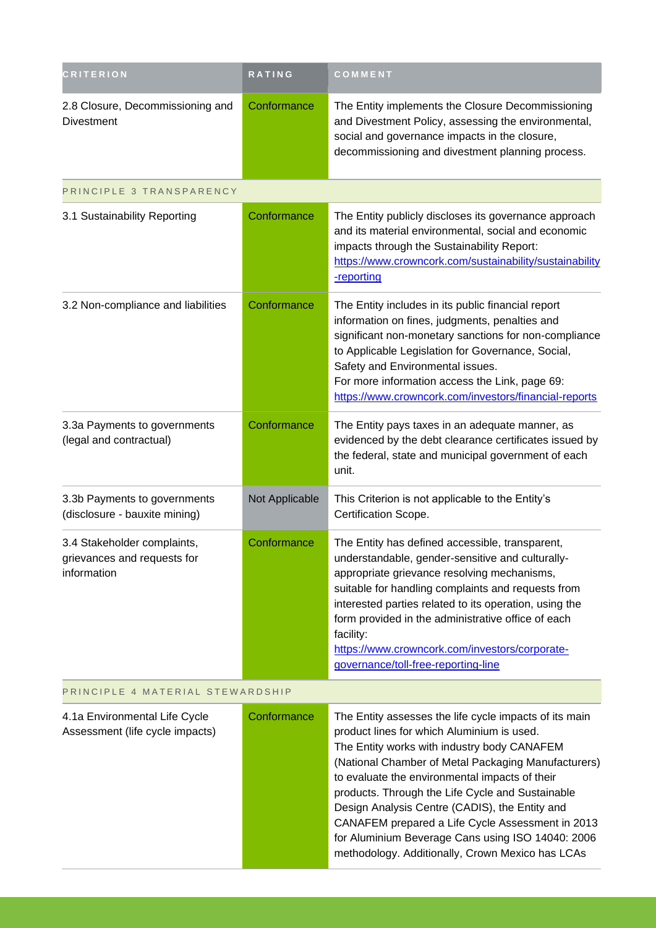| <b>CRITERION</b>                                                          | <b>RATING</b>  | COMMENT                                                                                                                                                                                                                                                                                                                                                                                                                                                                                                                         |  |
|---------------------------------------------------------------------------|----------------|---------------------------------------------------------------------------------------------------------------------------------------------------------------------------------------------------------------------------------------------------------------------------------------------------------------------------------------------------------------------------------------------------------------------------------------------------------------------------------------------------------------------------------|--|
| 2.8 Closure, Decommissioning and<br><b>Divestment</b>                     | Conformance    | The Entity implements the Closure Decommissioning<br>and Divestment Policy, assessing the environmental,<br>social and governance impacts in the closure,<br>decommissioning and divestment planning process.                                                                                                                                                                                                                                                                                                                   |  |
| PRINCIPLE 3 TRANSPARENCY                                                  |                |                                                                                                                                                                                                                                                                                                                                                                                                                                                                                                                                 |  |
| 3.1 Sustainability Reporting                                              | Conformance    | The Entity publicly discloses its governance approach<br>and its material environmental, social and economic<br>impacts through the Sustainability Report:<br>https://www.crowncork.com/sustainability/sustainability<br>-reporting                                                                                                                                                                                                                                                                                             |  |
| 3.2 Non-compliance and liabilities                                        | Conformance    | The Entity includes in its public financial report<br>information on fines, judgments, penalties and<br>significant non-monetary sanctions for non-compliance<br>to Applicable Legislation for Governance, Social,<br>Safety and Environmental issues.<br>For more information access the Link, page 69:<br>https://www.crowncork.com/investors/financial-reports                                                                                                                                                               |  |
| 3.3a Payments to governments<br>(legal and contractual)                   | Conformance    | The Entity pays taxes in an adequate manner, as<br>evidenced by the debt clearance certificates issued by<br>the federal, state and municipal government of each<br>unit.                                                                                                                                                                                                                                                                                                                                                       |  |
| 3.3b Payments to governments<br>(disclosure - bauxite mining)             | Not Applicable | This Criterion is not applicable to the Entity's<br>Certification Scope.                                                                                                                                                                                                                                                                                                                                                                                                                                                        |  |
| 3.4 Stakeholder complaints,<br>grievances and requests for<br>information | Conformance    | The Entity has defined accessible, transparent,<br>understandable, gender-sensitive and culturally-<br>appropriate grievance resolving mechanisms,<br>suitable for handling complaints and requests from<br>interested parties related to its operation, using the<br>form provided in the administrative office of each<br>facility:<br>https://www.crowncork.com/investors/corporate-<br>governance/toll-free-reporting-line                                                                                                  |  |
| PRINCIPLE 4 MATERIAL STEWARDSHIP                                          |                |                                                                                                                                                                                                                                                                                                                                                                                                                                                                                                                                 |  |
| 4.1a Environmental Life Cycle<br>Assessment (life cycle impacts)          | Conformance    | The Entity assesses the life cycle impacts of its main<br>product lines for which Aluminium is used.<br>The Entity works with industry body CANAFEM<br>(National Chamber of Metal Packaging Manufacturers)<br>to evaluate the environmental impacts of their<br>products. Through the Life Cycle and Sustainable<br>Design Analysis Centre (CADIS), the Entity and<br>CANAFEM prepared a Life Cycle Assessment in 2013<br>for Aluminium Beverage Cans using ISO 14040: 2006<br>methodology. Additionally, Crown Mexico has LCAs |  |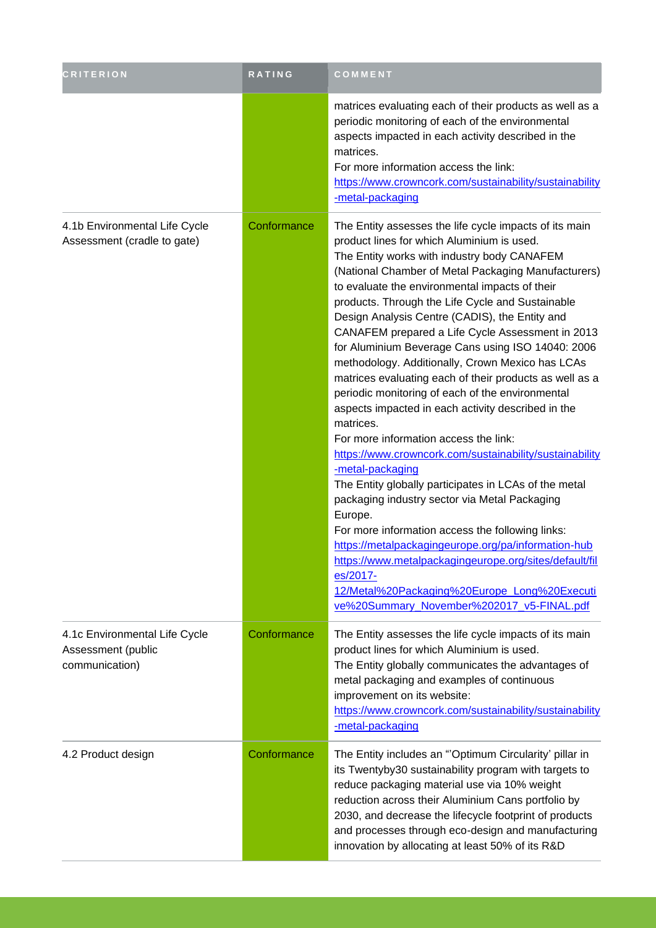| <b>CRITERION</b>                                                      | RATING      | COMMENT                                                                                                                                                                                                                                                                                                                                                                                                                                                                                                                                                                                                                                                                                                                                                                                                                                                                                                                                                                                                                                                                                                                                                                                                                                      |
|-----------------------------------------------------------------------|-------------|----------------------------------------------------------------------------------------------------------------------------------------------------------------------------------------------------------------------------------------------------------------------------------------------------------------------------------------------------------------------------------------------------------------------------------------------------------------------------------------------------------------------------------------------------------------------------------------------------------------------------------------------------------------------------------------------------------------------------------------------------------------------------------------------------------------------------------------------------------------------------------------------------------------------------------------------------------------------------------------------------------------------------------------------------------------------------------------------------------------------------------------------------------------------------------------------------------------------------------------------|
|                                                                       |             | matrices evaluating each of their products as well as a<br>periodic monitoring of each of the environmental<br>aspects impacted in each activity described in the<br>matrices.<br>For more information access the link:<br>https://www.crowncork.com/sustainability/sustainability<br>-metal-packaging                                                                                                                                                                                                                                                                                                                                                                                                                                                                                                                                                                                                                                                                                                                                                                                                                                                                                                                                       |
| 4.1b Environmental Life Cycle<br>Assessment (cradle to gate)          | Conformance | The Entity assesses the life cycle impacts of its main<br>product lines for which Aluminium is used.<br>The Entity works with industry body CANAFEM<br>(National Chamber of Metal Packaging Manufacturers)<br>to evaluate the environmental impacts of their<br>products. Through the Life Cycle and Sustainable<br>Design Analysis Centre (CADIS), the Entity and<br>CANAFEM prepared a Life Cycle Assessment in 2013<br>for Aluminium Beverage Cans using ISO 14040: 2006<br>methodology. Additionally, Crown Mexico has LCAs<br>matrices evaluating each of their products as well as a<br>periodic monitoring of each of the environmental<br>aspects impacted in each activity described in the<br>matrices.<br>For more information access the link:<br>https://www.crowncork.com/sustainability/sustainability<br>-metal-packaging<br>The Entity globally participates in LCAs of the metal<br>packaging industry sector via Metal Packaging<br>Europe.<br>For more information access the following links:<br>https://metalpackagingeurope.org/pa/information-hub<br>https://www.metalpackagingeurope.org/sites/default/fil<br>es/2017-<br>12/Metal%20Packaging%20Europe_Long%20Executi<br>ve%20Summary_November%202017_v5-FINAL.pdf |
| 4.1c Environmental Life Cycle<br>Assessment (public<br>communication) | Conformance | The Entity assesses the life cycle impacts of its main<br>product lines for which Aluminium is used.<br>The Entity globally communicates the advantages of<br>metal packaging and examples of continuous<br>improvement on its website:<br>https://www.crowncork.com/sustainability/sustainability<br>-metal-packaging                                                                                                                                                                                                                                                                                                                                                                                                                                                                                                                                                                                                                                                                                                                                                                                                                                                                                                                       |
| 4.2 Product design                                                    | Conformance | The Entity includes an "Optimum Circularity' pillar in<br>its Twentyby 30 sustainability program with targets to<br>reduce packaging material use via 10% weight<br>reduction across their Aluminium Cans portfolio by<br>2030, and decrease the lifecycle footprint of products<br>and processes through eco-design and manufacturing<br>innovation by allocating at least 50% of its R&D                                                                                                                                                                                                                                                                                                                                                                                                                                                                                                                                                                                                                                                                                                                                                                                                                                                   |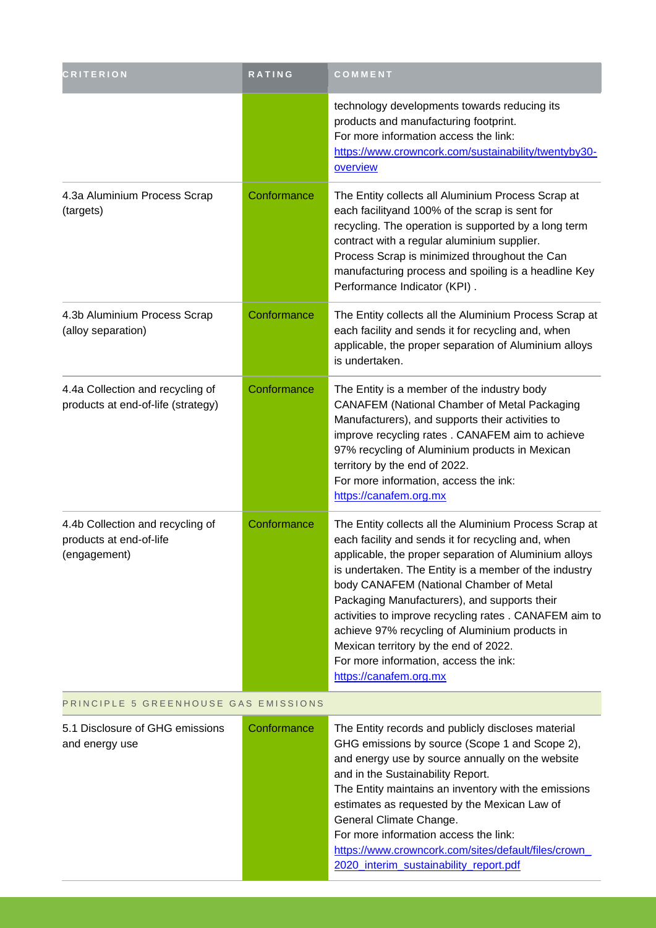| <b>CRITERION</b>                                                            | RATING      | COMMENT                                                                                                                                                                                                                                                                                                                                                                                                                                                                                                                                          |  |
|-----------------------------------------------------------------------------|-------------|--------------------------------------------------------------------------------------------------------------------------------------------------------------------------------------------------------------------------------------------------------------------------------------------------------------------------------------------------------------------------------------------------------------------------------------------------------------------------------------------------------------------------------------------------|--|
|                                                                             |             | technology developments towards reducing its<br>products and manufacturing footprint.<br>For more information access the link:<br>https://www.crowncork.com/sustainability/twentyby30-<br>overview                                                                                                                                                                                                                                                                                                                                               |  |
| 4.3a Aluminium Process Scrap<br>(targets)                                   | Conformance | The Entity collects all Aluminium Process Scrap at<br>each facilityand 100% of the scrap is sent for<br>recycling. The operation is supported by a long term<br>contract with a regular aluminium supplier.<br>Process Scrap is minimized throughout the Can<br>manufacturing process and spoiling is a headline Key<br>Performance Indicator (KPI).                                                                                                                                                                                             |  |
| 4.3b Aluminium Process Scrap<br>(alloy separation)                          | Conformance | The Entity collects all the Aluminium Process Scrap at<br>each facility and sends it for recycling and, when<br>applicable, the proper separation of Aluminium alloys<br>is undertaken.                                                                                                                                                                                                                                                                                                                                                          |  |
| 4.4a Collection and recycling of<br>products at end-of-life (strategy)      | Conformance | The Entity is a member of the industry body<br><b>CANAFEM (National Chamber of Metal Packaging</b><br>Manufacturers), and supports their activities to<br>improve recycling rates . CANAFEM aim to achieve<br>97% recycling of Aluminium products in Mexican<br>territory by the end of 2022.<br>For more information, access the ink:<br>https://canafem.org.mx                                                                                                                                                                                 |  |
| 4.4b Collection and recycling of<br>products at end-of-life<br>(engagement) | Conformance | The Entity collects all the Aluminium Process Scrap at<br>each facility and sends it for recycling and, when<br>applicable, the proper separation of Aluminium alloys<br>is undertaken. The Entity is a member of the industry<br>body CANAFEM (National Chamber of Metal<br>Packaging Manufacturers), and supports their<br>activities to improve recycling rates. CANAFEM aim to<br>achieve 97% recycling of Aluminium products in<br>Mexican territory by the end of 2022.<br>For more information, access the ink:<br>https://canafem.org.mx |  |
| PRINCIPLE 5 GREENHOUSE GAS EMISSIONS                                        |             |                                                                                                                                                                                                                                                                                                                                                                                                                                                                                                                                                  |  |
| 5.1 Disclosure of GHG emissions<br>and energy use                           | Conformance | The Entity records and publicly discloses material<br>GHG emissions by source (Scope 1 and Scope 2),<br>and energy use by source annually on the website<br>and in the Sustainability Report.<br>The Entity maintains an inventory with the emissions<br>estimates as requested by the Mexican Law of<br>General Climate Change.<br>For more information access the link:<br>https://www.crowncork.com/sites/default/files/crown_<br>2020_interim_sustainability_report.pdf                                                                      |  |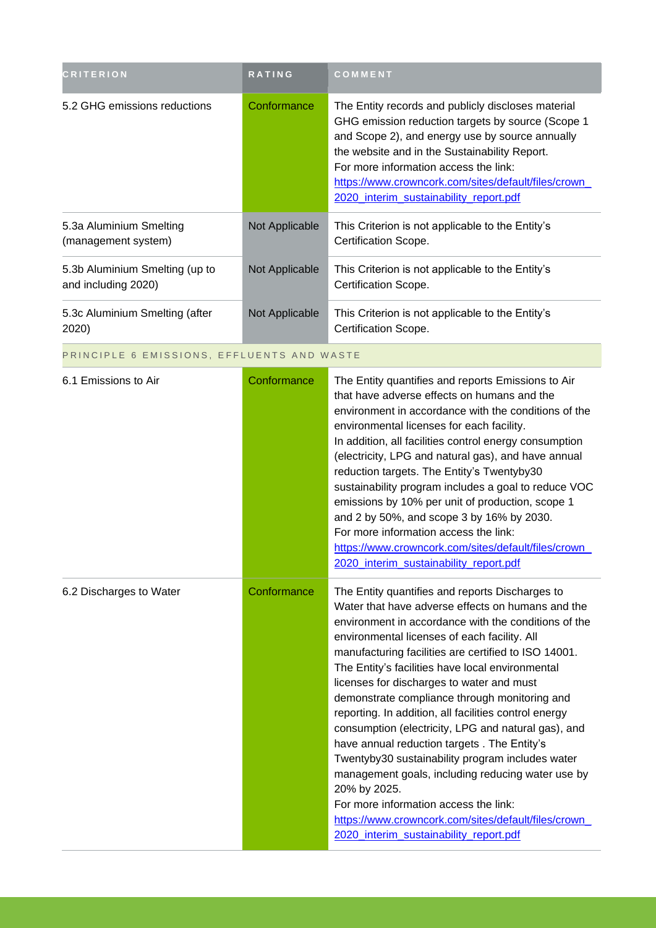| <b>CRITERION</b>                                      | <b>RATING</b>  | <b>COMMENT</b>                                                                                                                                                                                                                                                                                                                                         |
|-------------------------------------------------------|----------------|--------------------------------------------------------------------------------------------------------------------------------------------------------------------------------------------------------------------------------------------------------------------------------------------------------------------------------------------------------|
| 5.2 GHG emissions reductions                          | Conformance    | The Entity records and publicly discloses material<br>GHG emission reduction targets by source (Scope 1<br>and Scope 2), and energy use by source annually<br>the website and in the Sustainability Report.<br>For more information access the link:<br>https://www.crowncork.com/sites/default/files/crown_<br>2020_interim_sustainability_report.pdf |
| 5.3a Aluminium Smelting<br>(management system)        | Not Applicable | This Criterion is not applicable to the Entity's<br>Certification Scope.                                                                                                                                                                                                                                                                               |
| 5.3b Aluminium Smelting (up to<br>and including 2020) | Not Applicable | This Criterion is not applicable to the Entity's<br>Certification Scope.                                                                                                                                                                                                                                                                               |
| 5.3c Aluminium Smelting (after<br>2020)               | Not Applicable | This Criterion is not applicable to the Entity's<br>Certification Scope.                                                                                                                                                                                                                                                                               |

#### PRINCIPLE 6 EMISSIONS, EFFLUENTS AND WASTE

| 6.1 Emissions to Air    | Conformance | The Entity quantifies and reports Emissions to Air<br>that have adverse effects on humans and the<br>environment in accordance with the conditions of the<br>environmental licenses for each facility.<br>In addition, all facilities control energy consumption<br>(electricity, LPG and natural gas), and have annual<br>reduction targets. The Entity's Twentyby30<br>sustainability program includes a goal to reduce VOC<br>emissions by 10% per unit of production, scope 1<br>and 2 by 50%, and scope 3 by 16% by 2030.<br>For more information access the link:<br>https://www.crowncork.com/sites/default/files/crown_<br>2020 interim sustainability report.pdf                                                                                                                                                                                  |
|-------------------------|-------------|------------------------------------------------------------------------------------------------------------------------------------------------------------------------------------------------------------------------------------------------------------------------------------------------------------------------------------------------------------------------------------------------------------------------------------------------------------------------------------------------------------------------------------------------------------------------------------------------------------------------------------------------------------------------------------------------------------------------------------------------------------------------------------------------------------------------------------------------------------|
| 6.2 Discharges to Water | Conformance | The Entity quantifies and reports Discharges to<br>Water that have adverse effects on humans and the<br>environment in accordance with the conditions of the<br>environmental licenses of each facility. All<br>manufacturing facilities are certified to ISO 14001.<br>The Entity's facilities have local environmental<br>licenses for discharges to water and must<br>demonstrate compliance through monitoring and<br>reporting. In addition, all facilities control energy<br>consumption (electricity, LPG and natural gas), and<br>have annual reduction targets . The Entity's<br>Twentyby30 sustainability program includes water<br>management goals, including reducing water use by<br>20% by 2025.<br>For more information access the link:<br>https://www.crowncork.com/sites/default/files/crown_<br>2020_interim_sustainability_report.pdf |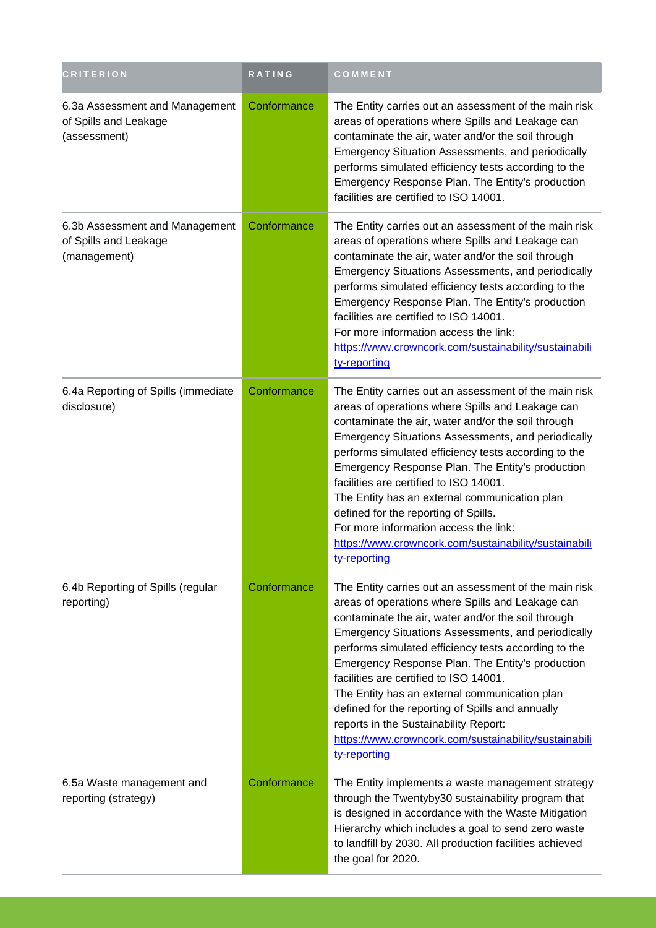| <b>CRITERION</b>                                                        | <b>RATING</b> | COMMENT                                                                                                                                                                                                                                                                                                                                                                                                                                                                                                                                                                                            |
|-------------------------------------------------------------------------|---------------|----------------------------------------------------------------------------------------------------------------------------------------------------------------------------------------------------------------------------------------------------------------------------------------------------------------------------------------------------------------------------------------------------------------------------------------------------------------------------------------------------------------------------------------------------------------------------------------------------|
| 6.3a Assessment and Management<br>of Spills and Leakage<br>(assessment) | Conformance   | The Entity carries out an assessment of the main risk<br>areas of operations where Spills and Leakage can<br>contaminate the air, water and/or the soil through<br>Emergency Situation Assessments, and periodically<br>performs simulated efficiency tests according to the<br>Emergency Response Plan. The Entity's production<br>facilities are certified to ISO 14001.                                                                                                                                                                                                                         |
| 6.3b Assessment and Management<br>of Spills and Leakage<br>(management) | Conformance   | The Entity carries out an assessment of the main risk<br>areas of operations where Spills and Leakage can<br>contaminate the air, water and/or the soil through<br>Emergency Situations Assessments, and periodically<br>performs simulated efficiency tests according to the<br>Emergency Response Plan. The Entity's production<br>facilities are certified to ISO 14001.<br>For more information access the link:<br>https://www.crowncork.com/sustainability/sustainabili<br>ty-reporting                                                                                                      |
| 6.4a Reporting of Spills (immediate<br>disclosure)                      | Conformance   | The Entity carries out an assessment of the main risk<br>areas of operations where Spills and Leakage can<br>contaminate the air, water and/or the soil through<br>Emergency Situations Assessments, and periodically<br>performs simulated efficiency tests according to the<br>Emergency Response Plan. The Entity's production<br>facilities are certified to ISO 14001.<br>The Entity has an external communication plan<br>defined for the reporting of Spills.<br>For more information access the link:<br>https://www.crowncork.com/sustainability/sustainabili<br>ty-reporting             |
| 6.4b Reporting of Spills (regular<br>reporting)                         | Conformance   | The Entity carries out an assessment of the main risk<br>areas of operations where Spills and Leakage can<br>contaminate the air, water and/or the soil through<br>Emergency Situations Assessments, and periodically<br>performs simulated efficiency tests according to the<br>Emergency Response Plan. The Entity's production<br>facilities are certified to ISO 14001.<br>The Entity has an external communication plan<br>defined for the reporting of Spills and annually<br>reports in the Sustainability Report:<br>https://www.crowncork.com/sustainability/sustainabili<br>ty-reporting |
| 6.5a Waste management and<br>reporting (strategy)                       | Conformance   | The Entity implements a waste management strategy<br>through the Twentyby30 sustainability program that<br>is designed in accordance with the Waste Mitigation<br>Hierarchy which includes a goal to send zero waste<br>to landfill by 2030. All production facilities achieved<br>the goal for 2020.                                                                                                                                                                                                                                                                                              |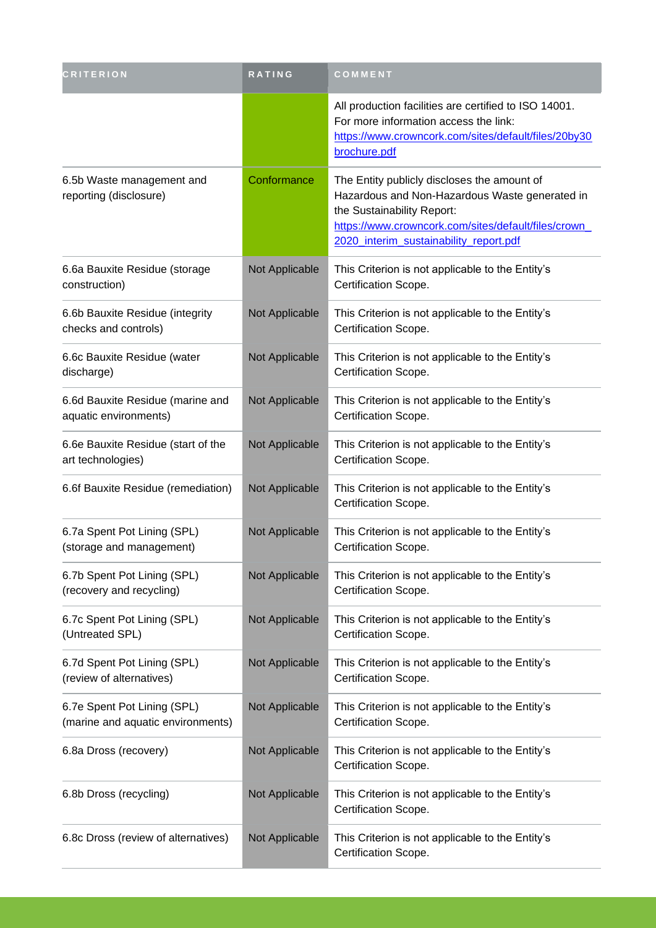| <b>CRITERION</b>                                                 | RATING         | COMMENT                                                                                                                                                                                                                       |
|------------------------------------------------------------------|----------------|-------------------------------------------------------------------------------------------------------------------------------------------------------------------------------------------------------------------------------|
|                                                                  |                | All production facilities are certified to ISO 14001.<br>For more information access the link:<br>https://www.crowncork.com/sites/default/files/20by30<br>brochure.pdf                                                        |
| 6.5b Waste management and<br>reporting (disclosure)              | Conformance    | The Entity publicly discloses the amount of<br>Hazardous and Non-Hazardous Waste generated in<br>the Sustainability Report:<br>https://www.crowncork.com/sites/default/files/crown_<br>2020 interim sustainability report.pdf |
| 6.6a Bauxite Residue (storage<br>construction)                   | Not Applicable | This Criterion is not applicable to the Entity's<br>Certification Scope.                                                                                                                                                      |
| 6.6b Bauxite Residue (integrity<br>checks and controls)          | Not Applicable | This Criterion is not applicable to the Entity's<br>Certification Scope.                                                                                                                                                      |
| 6.6c Bauxite Residue (water<br>discharge)                        | Not Applicable | This Criterion is not applicable to the Entity's<br>Certification Scope.                                                                                                                                                      |
| 6.6d Bauxite Residue (marine and<br>aquatic environments)        | Not Applicable | This Criterion is not applicable to the Entity's<br>Certification Scope.                                                                                                                                                      |
| 6.6e Bauxite Residue (start of the<br>art technologies)          | Not Applicable | This Criterion is not applicable to the Entity's<br>Certification Scope.                                                                                                                                                      |
| 6.6f Bauxite Residue (remediation)                               | Not Applicable | This Criterion is not applicable to the Entity's<br>Certification Scope.                                                                                                                                                      |
| 6.7a Spent Pot Lining (SPL)<br>(storage and management)          | Not Applicable | This Criterion is not applicable to the Entity's<br>Certification Scope.                                                                                                                                                      |
| 6.7b Spent Pot Lining (SPL)<br>(recovery and recycling)          | Not Applicable | This Criterion is not applicable to the Entity's<br>Certification Scope.                                                                                                                                                      |
| 6.7c Spent Pot Lining (SPL)<br>(Untreated SPL)                   | Not Applicable | This Criterion is not applicable to the Entity's<br>Certification Scope.                                                                                                                                                      |
| 6.7d Spent Pot Lining (SPL)<br>(review of alternatives)          | Not Applicable | This Criterion is not applicable to the Entity's<br>Certification Scope.                                                                                                                                                      |
| 6.7e Spent Pot Lining (SPL)<br>(marine and aquatic environments) | Not Applicable | This Criterion is not applicable to the Entity's<br>Certification Scope.                                                                                                                                                      |
| 6.8a Dross (recovery)                                            | Not Applicable | This Criterion is not applicable to the Entity's<br>Certification Scope.                                                                                                                                                      |
| 6.8b Dross (recycling)                                           | Not Applicable | This Criterion is not applicable to the Entity's<br>Certification Scope.                                                                                                                                                      |
| 6.8c Dross (review of alternatives)                              | Not Applicable | This Criterion is not applicable to the Entity's<br>Certification Scope.                                                                                                                                                      |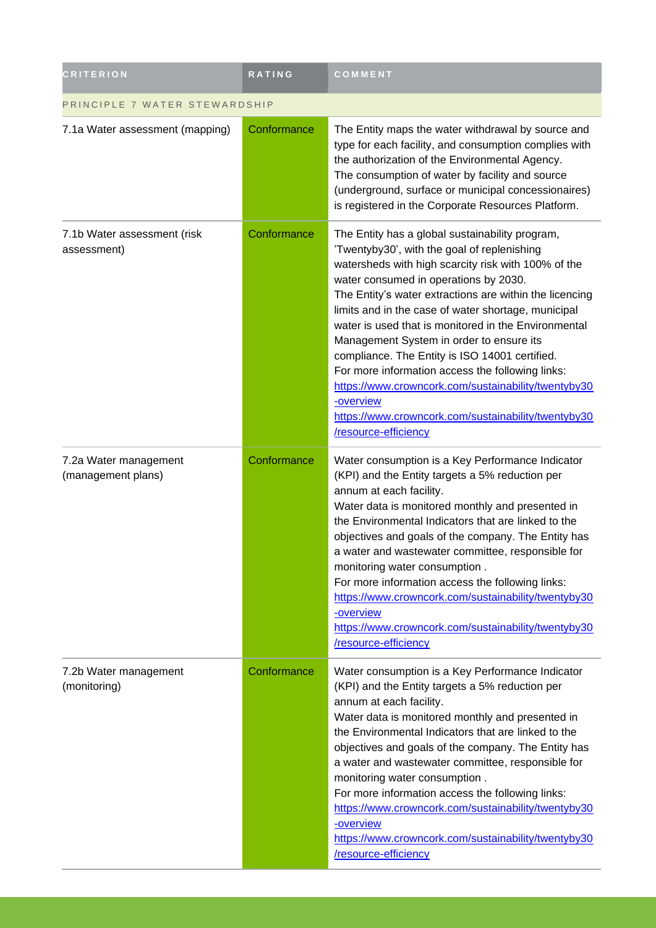| <b>CRITERION</b>                            | RATING      | COMMENT                                                                                                                                                                                                                                                                                                                                                                                                                                                                                                                                                                                                                                                                       |  |
|---------------------------------------------|-------------|-------------------------------------------------------------------------------------------------------------------------------------------------------------------------------------------------------------------------------------------------------------------------------------------------------------------------------------------------------------------------------------------------------------------------------------------------------------------------------------------------------------------------------------------------------------------------------------------------------------------------------------------------------------------------------|--|
| PRINCIPLE 7 WATER STEWARDSHIP               |             |                                                                                                                                                                                                                                                                                                                                                                                                                                                                                                                                                                                                                                                                               |  |
| 7.1a Water assessment (mapping)             | Conformance | The Entity maps the water withdrawal by source and<br>type for each facility, and consumption complies with<br>the authorization of the Environmental Agency.<br>The consumption of water by facility and source<br>(underground, surface or municipal concessionaires)<br>is registered in the Corporate Resources Platform.                                                                                                                                                                                                                                                                                                                                                 |  |
| 7.1b Water assessment (risk<br>assessment)  | Conformance | The Entity has a global sustainability program,<br>'Twentyby30', with the goal of replenishing<br>watersheds with high scarcity risk with 100% of the<br>water consumed in operations by 2030.<br>The Entity's water extractions are within the licencing<br>limits and in the case of water shortage, municipal<br>water is used that is monitored in the Environmental<br>Management System in order to ensure its<br>compliance. The Entity is ISO 14001 certified.<br>For more information access the following links:<br>https://www.crowncork.com/sustainability/twentyby30<br>-overview<br>https://www.crowncork.com/sustainability/twentyby30<br>/resource-efficiency |  |
| 7.2a Water management<br>(management plans) | Conformance | Water consumption is a Key Performance Indicator<br>(KPI) and the Entity targets a 5% reduction per<br>annum at each facility.<br>Water data is monitored monthly and presented in<br>the Environmental Indicators that are linked to the<br>objectives and goals of the company. The Entity has<br>a water and wastewater committee, responsible for<br>monitoring water consumption.<br>For more information access the following links:<br>https://www.crowncork.com/sustainability/twentyby30<br>-overview<br>https://www.crowncork.com/sustainability/twentyby30<br>/resource-efficiency                                                                                 |  |
| 7.2b Water management<br>(monitoring)       | Conformance | Water consumption is a Key Performance Indicator<br>(KPI) and the Entity targets a 5% reduction per<br>annum at each facility.<br>Water data is monitored monthly and presented in<br>the Environmental Indicators that are linked to the<br>objectives and goals of the company. The Entity has<br>a water and wastewater committee, responsible for<br>monitoring water consumption.<br>For more information access the following links:<br>https://www.crowncork.com/sustainability/twentyby30<br>-overview<br>https://www.crowncork.com/sustainability/twentyby30<br>/resource-efficiency                                                                                 |  |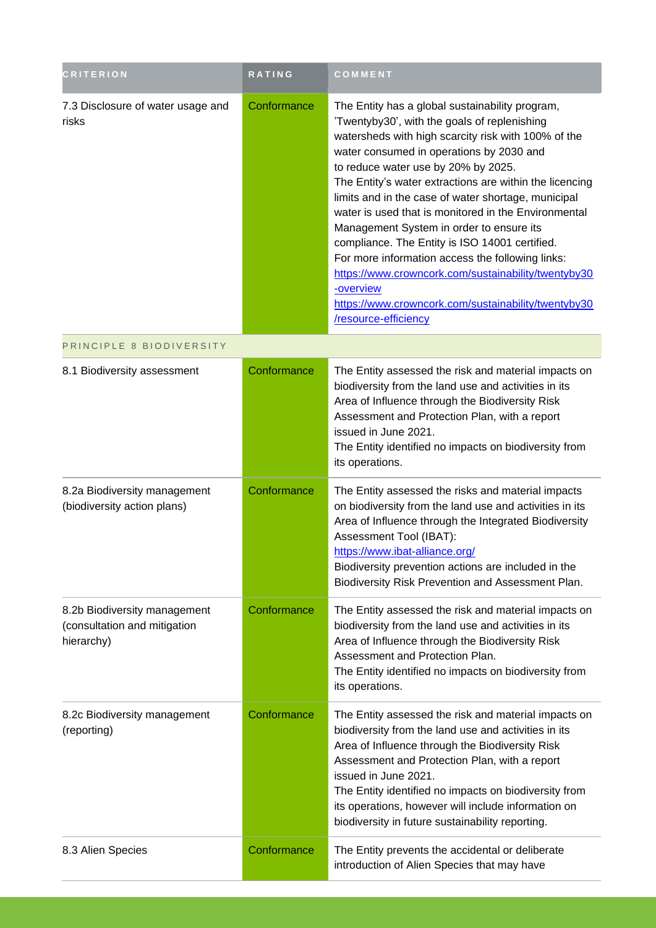| <b>CRITERION</b>                                                           | <b>RATING</b> | COMMENT                                                                                                                                                                                                                                                                                                                                                                                                                                                                                                                                                                                                                                                                                                                  |
|----------------------------------------------------------------------------|---------------|--------------------------------------------------------------------------------------------------------------------------------------------------------------------------------------------------------------------------------------------------------------------------------------------------------------------------------------------------------------------------------------------------------------------------------------------------------------------------------------------------------------------------------------------------------------------------------------------------------------------------------------------------------------------------------------------------------------------------|
| 7.3 Disclosure of water usage and<br>risks                                 | Conformance   | The Entity has a global sustainability program,<br>'Twentyby30', with the goals of replenishing<br>watersheds with high scarcity risk with 100% of the<br>water consumed in operations by 2030 and<br>to reduce water use by 20% by 2025.<br>The Entity's water extractions are within the licencing<br>limits and in the case of water shortage, municipal<br>water is used that is monitored in the Environmental<br>Management System in order to ensure its<br>compliance. The Entity is ISO 14001 certified.<br>For more information access the following links:<br>https://www.crowncork.com/sustainability/twentyby30<br>-overview<br>https://www.crowncork.com/sustainability/twentyby30<br>/resource-efficiency |
| PRINCIPLE 8 BIODIVERSITY                                                   |               |                                                                                                                                                                                                                                                                                                                                                                                                                                                                                                                                                                                                                                                                                                                          |
| 8.1 Biodiversity assessment                                                | Conformance   | The Entity assessed the risk and material impacts on<br>biodiversity from the land use and activities in its<br>Area of Influence through the Biodiversity Risk<br>Assessment and Protection Plan, with a report<br>issued in June 2021.<br>The Entity identified no impacts on biodiversity from<br>its operations.                                                                                                                                                                                                                                                                                                                                                                                                     |
| 8.2a Biodiversity management<br>(biodiversity action plans)                | Conformance   | The Entity assessed the risks and material impacts<br>on biodiversity from the land use and activities in its<br>Area of Influence through the Integrated Biodiversity<br>Assessment Tool (IBAT):<br>https://www.ibat-alliance.org/<br>Biodiversity prevention actions are included in the<br>Biodiversity Risk Prevention and Assessment Plan.                                                                                                                                                                                                                                                                                                                                                                          |
| 8.2b Biodiversity management<br>(consultation and mitigation<br>hierarchy) | Conformance   | The Entity assessed the risk and material impacts on<br>biodiversity from the land use and activities in its<br>Area of Influence through the Biodiversity Risk<br>Assessment and Protection Plan.<br>The Entity identified no impacts on biodiversity from<br>its operations.                                                                                                                                                                                                                                                                                                                                                                                                                                           |
| 8.2c Biodiversity management<br>(reporting)                                | Conformance   | The Entity assessed the risk and material impacts on<br>biodiversity from the land use and activities in its<br>Area of Influence through the Biodiversity Risk<br>Assessment and Protection Plan, with a report<br>issued in June 2021.<br>The Entity identified no impacts on biodiversity from<br>its operations, however will include information on<br>biodiversity in future sustainability reporting.                                                                                                                                                                                                                                                                                                             |
| 8.3 Alien Species                                                          | Conformance   | The Entity prevents the accidental or deliberate<br>introduction of Alien Species that may have                                                                                                                                                                                                                                                                                                                                                                                                                                                                                                                                                                                                                          |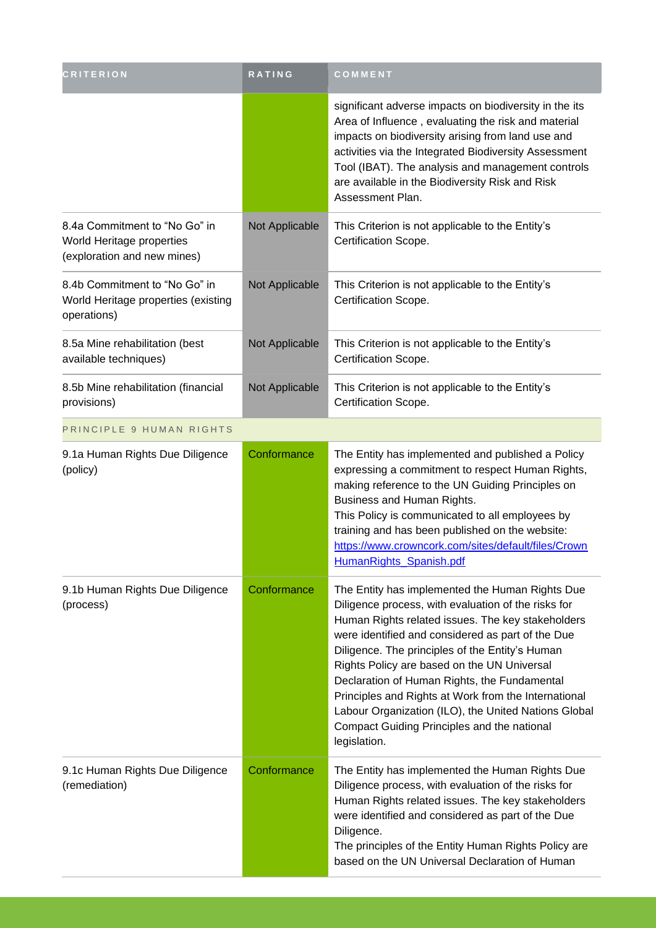| <b>CRITERION</b>                                                                          | <b>RATING</b>  | COMMENT                                                                                                                                                                                                                                                                                                                                                                                                                                                                                                                                           |
|-------------------------------------------------------------------------------------------|----------------|---------------------------------------------------------------------------------------------------------------------------------------------------------------------------------------------------------------------------------------------------------------------------------------------------------------------------------------------------------------------------------------------------------------------------------------------------------------------------------------------------------------------------------------------------|
|                                                                                           |                | significant adverse impacts on biodiversity in the its<br>Area of Influence, evaluating the risk and material<br>impacts on biodiversity arising from land use and<br>activities via the Integrated Biodiversity Assessment<br>Tool (IBAT). The analysis and management controls<br>are available in the Biodiversity Risk and Risk<br>Assessment Plan.                                                                                                                                                                                           |
| 8.4a Commitment to "No Go" in<br>World Heritage properties<br>(exploration and new mines) | Not Applicable | This Criterion is not applicable to the Entity's<br>Certification Scope.                                                                                                                                                                                                                                                                                                                                                                                                                                                                          |
| 8.4b Commitment to "No Go" in<br>World Heritage properties (existing<br>operations)       | Not Applicable | This Criterion is not applicable to the Entity's<br>Certification Scope.                                                                                                                                                                                                                                                                                                                                                                                                                                                                          |
| 8.5a Mine rehabilitation (best<br>available techniques)                                   | Not Applicable | This Criterion is not applicable to the Entity's<br>Certification Scope.                                                                                                                                                                                                                                                                                                                                                                                                                                                                          |
| 8.5b Mine rehabilitation (financial<br>provisions)                                        | Not Applicable | This Criterion is not applicable to the Entity's<br>Certification Scope.                                                                                                                                                                                                                                                                                                                                                                                                                                                                          |
| PRINCIPLE 9 HUMAN RIGHTS                                                                  |                |                                                                                                                                                                                                                                                                                                                                                                                                                                                                                                                                                   |
| 9.1a Human Rights Due Diligence<br>(policy)                                               | Conformance    | The Entity has implemented and published a Policy<br>expressing a commitment to respect Human Rights,<br>making reference to the UN Guiding Principles on<br>Business and Human Rights.<br>This Policy is communicated to all employees by<br>training and has been published on the website:<br>https://www.crowncork.com/sites/default/files/Crown<br>HumanRights_Spanish.pdf                                                                                                                                                                   |
| 9.1b Human Rights Due Diligence<br>(process)                                              | Conformance    | The Entity has implemented the Human Rights Due<br>Diligence process, with evaluation of the risks for<br>Human Rights related issues. The key stakeholders<br>were identified and considered as part of the Due<br>Diligence. The principles of the Entity's Human<br>Rights Policy are based on the UN Universal<br>Declaration of Human Rights, the Fundamental<br>Principles and Rights at Work from the International<br>Labour Organization (ILO), the United Nations Global<br>Compact Guiding Principles and the national<br>legislation. |
| 9.1c Human Rights Due Diligence<br>(remediation)                                          | Conformance    | The Entity has implemented the Human Rights Due<br>Diligence process, with evaluation of the risks for<br>Human Rights related issues. The key stakeholders<br>were identified and considered as part of the Due<br>Diligence.<br>The principles of the Entity Human Rights Policy are<br>based on the UN Universal Declaration of Human                                                                                                                                                                                                          |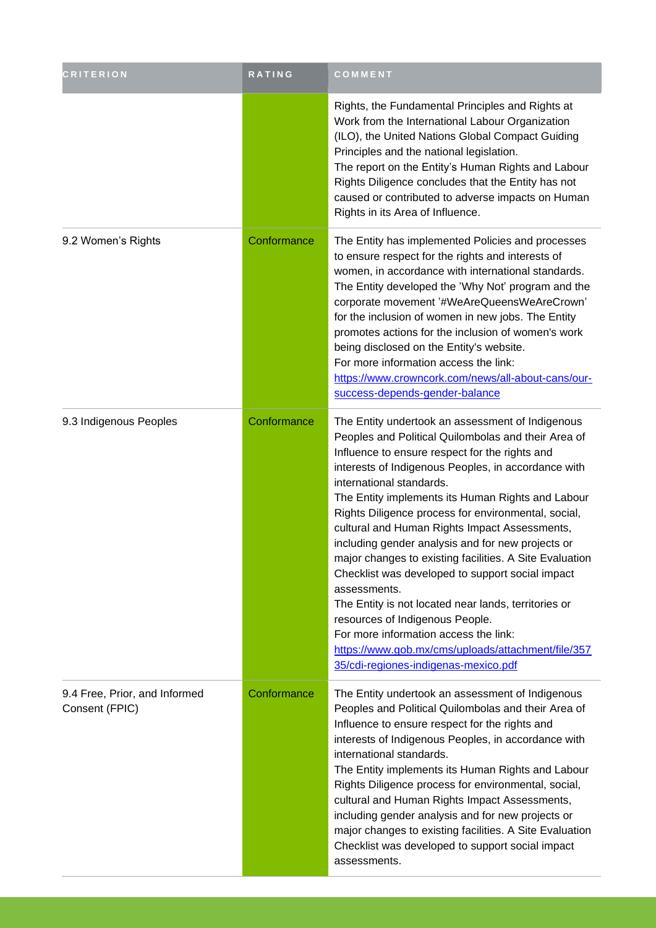| <b>CRITERION</b>                                | RATING      | COMMENT                                                                                                                                                                                                                                                                                                                                                                                                                                                                                                                                                                                                                                                                                                                                                                                                                         |
|-------------------------------------------------|-------------|---------------------------------------------------------------------------------------------------------------------------------------------------------------------------------------------------------------------------------------------------------------------------------------------------------------------------------------------------------------------------------------------------------------------------------------------------------------------------------------------------------------------------------------------------------------------------------------------------------------------------------------------------------------------------------------------------------------------------------------------------------------------------------------------------------------------------------|
|                                                 |             | Rights, the Fundamental Principles and Rights at<br>Work from the International Labour Organization<br>(ILO), the United Nations Global Compact Guiding<br>Principles and the national legislation.<br>The report on the Entity's Human Rights and Labour<br>Rights Diligence concludes that the Entity has not<br>caused or contributed to adverse impacts on Human<br>Rights in its Area of Influence.                                                                                                                                                                                                                                                                                                                                                                                                                        |
| 9.2 Women's Rights                              | Conformance | The Entity has implemented Policies and processes<br>to ensure respect for the rights and interests of<br>women, in accordance with international standards.<br>The Entity developed the 'Why Not' program and the<br>corporate movement '#WeAreQueensWeAreCrown'<br>for the inclusion of women in new jobs. The Entity<br>promotes actions for the inclusion of women's work<br>being disclosed on the Entity's website.<br>For more information access the link:<br>https://www.crowncork.com/news/all-about-cans/our-<br>success-depends-gender-balance                                                                                                                                                                                                                                                                      |
| 9.3 Indigenous Peoples                          | Conformance | The Entity undertook an assessment of Indigenous<br>Peoples and Political Quilombolas and their Area of<br>Influence to ensure respect for the rights and<br>interests of Indigenous Peoples, in accordance with<br>international standards.<br>The Entity implements its Human Rights and Labour<br>Rights Diligence process for environmental, social,<br>cultural and Human Rights Impact Assessments,<br>including gender analysis and for new projects or<br>major changes to existing facilities. A Site Evaluation<br>Checklist was developed to support social impact<br>assessments.<br>The Entity is not located near lands, territories or<br>resources of Indigenous People.<br>For more information access the link:<br>https://www.gob.mx/cms/uploads/attachment/file/357<br>35/cdi-regiones-indigenas-mexico.pdf |
| 9.4 Free, Prior, and Informed<br>Consent (FPIC) | Conformance | The Entity undertook an assessment of Indigenous<br>Peoples and Political Quilombolas and their Area of<br>Influence to ensure respect for the rights and<br>interests of Indigenous Peoples, in accordance with<br>international standards.<br>The Entity implements its Human Rights and Labour<br>Rights Diligence process for environmental, social,<br>cultural and Human Rights Impact Assessments,<br>including gender analysis and for new projects or<br>major changes to existing facilities. A Site Evaluation<br>Checklist was developed to support social impact<br>assessments.                                                                                                                                                                                                                                   |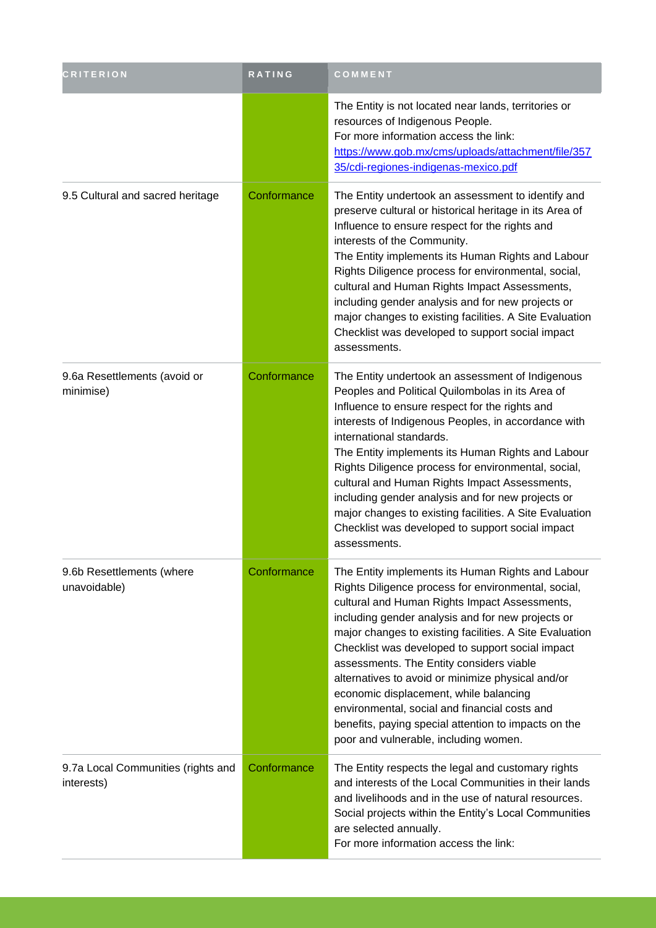| <b>CRITERION</b>                                 | RATING      | COMMENT                                                                                                                                                                                                                                                                                                                                                                                                                                                                                                                                                                                                                    |
|--------------------------------------------------|-------------|----------------------------------------------------------------------------------------------------------------------------------------------------------------------------------------------------------------------------------------------------------------------------------------------------------------------------------------------------------------------------------------------------------------------------------------------------------------------------------------------------------------------------------------------------------------------------------------------------------------------------|
|                                                  |             | The Entity is not located near lands, territories or<br>resources of Indigenous People.<br>For more information access the link:<br>https://www.gob.mx/cms/uploads/attachment/file/357<br>35/cdi-regiones-indigenas-mexico.pdf                                                                                                                                                                                                                                                                                                                                                                                             |
| 9.5 Cultural and sacred heritage                 | Conformance | The Entity undertook an assessment to identify and<br>preserve cultural or historical heritage in its Area of<br>Influence to ensure respect for the rights and<br>interests of the Community.<br>The Entity implements its Human Rights and Labour<br>Rights Diligence process for environmental, social,<br>cultural and Human Rights Impact Assessments,<br>including gender analysis and for new projects or<br>major changes to existing facilities. A Site Evaluation<br>Checklist was developed to support social impact<br>assessments.                                                                            |
| 9.6a Resettlements (avoid or<br>minimise)        | Conformance | The Entity undertook an assessment of Indigenous<br>Peoples and Political Quilombolas in its Area of<br>Influence to ensure respect for the rights and<br>interests of Indigenous Peoples, in accordance with<br>international standards.<br>The Entity implements its Human Rights and Labour<br>Rights Diligence process for environmental, social,<br>cultural and Human Rights Impact Assessments,<br>including gender analysis and for new projects or<br>major changes to existing facilities. A Site Evaluation<br>Checklist was developed to support social impact<br>assessments.                                 |
| 9.6b Resettlements (where<br>unavoidable)        | Conformance | The Entity implements its Human Rights and Labour<br>Rights Diligence process for environmental, social,<br>cultural and Human Rights Impact Assessments,<br>including gender analysis and for new projects or<br>major changes to existing facilities. A Site Evaluation<br>Checklist was developed to support social impact<br>assessments. The Entity considers viable<br>alternatives to avoid or minimize physical and/or<br>economic displacement, while balancing<br>environmental, social and financial costs and<br>benefits, paying special attention to impacts on the<br>poor and vulnerable, including women. |
| 9.7a Local Communities (rights and<br>interests) | Conformance | The Entity respects the legal and customary rights<br>and interests of the Local Communities in their lands<br>and livelihoods and in the use of natural resources.<br>Social projects within the Entity's Local Communities<br>are selected annually.<br>For more information access the link:                                                                                                                                                                                                                                                                                                                            |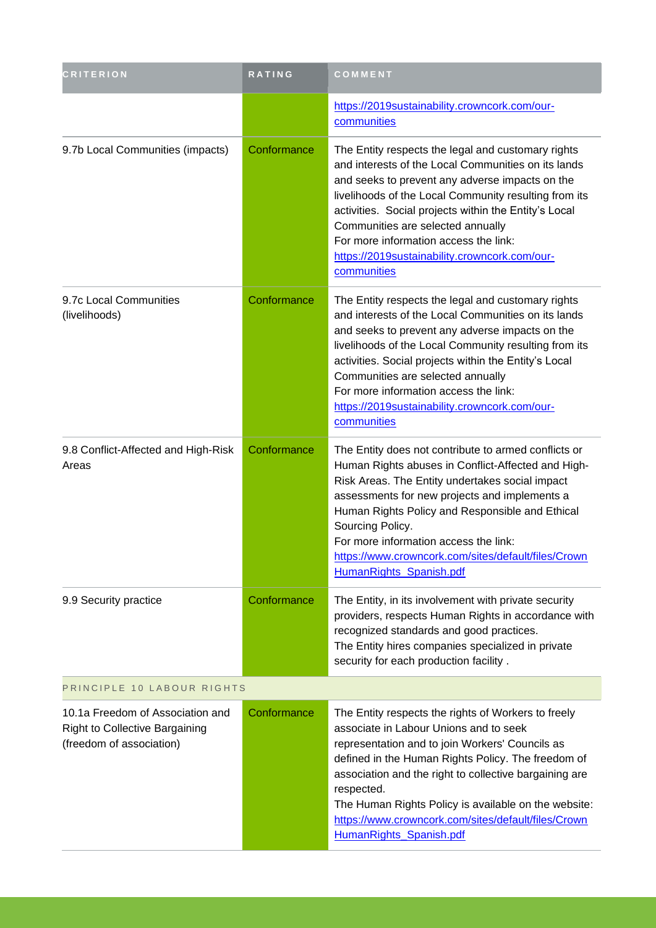| <b>CRITERION</b>                                                                                      | RATING      | COMMENT                                                                                                                                                                                                                                                                                                                                                                                                                      |
|-------------------------------------------------------------------------------------------------------|-------------|------------------------------------------------------------------------------------------------------------------------------------------------------------------------------------------------------------------------------------------------------------------------------------------------------------------------------------------------------------------------------------------------------------------------------|
|                                                                                                       |             | https://2019sustainability.crowncork.com/our-<br>communities                                                                                                                                                                                                                                                                                                                                                                 |
| 9.7b Local Communities (impacts)                                                                      | Conformance | The Entity respects the legal and customary rights<br>and interests of the Local Communities on its lands<br>and seeks to prevent any adverse impacts on the<br>livelihoods of the Local Community resulting from its<br>activities. Social projects within the Entity's Local<br>Communities are selected annually<br>For more information access the link:<br>https://2019sustainability.crowncork.com/our-<br>communities |
| 9.7c Local Communities<br>(livelihoods)                                                               | Conformance | The Entity respects the legal and customary rights<br>and interests of the Local Communities on its lands<br>and seeks to prevent any adverse impacts on the<br>livelihoods of the Local Community resulting from its<br>activities. Social projects within the Entity's Local<br>Communities are selected annually<br>For more information access the link:<br>https://2019sustainability.crowncork.com/our-<br>communities |
| 9.8 Conflict-Affected and High-Risk<br>Areas                                                          | Conformance | The Entity does not contribute to armed conflicts or<br>Human Rights abuses in Conflict-Affected and High-<br>Risk Areas. The Entity undertakes social impact<br>assessments for new projects and implements a<br>Human Rights Policy and Responsible and Ethical<br>Sourcing Policy.<br>For more information access the link:<br>https://www.crowncork.com/sites/default/files/Crown<br>HumanRights_Spanish.pdf             |
| 9.9 Security practice                                                                                 | Conformance | The Entity, in its involvement with private security<br>providers, respects Human Rights in accordance with<br>recognized standards and good practices.<br>The Entity hires companies specialized in private<br>security for each production facility.                                                                                                                                                                       |
| PRINCIPLE 10 LABOUR RIGHTS                                                                            |             |                                                                                                                                                                                                                                                                                                                                                                                                                              |
| 10.1a Freedom of Association and<br><b>Right to Collective Bargaining</b><br>(freedom of association) | Conformance | The Entity respects the rights of Workers to freely<br>associate in Labour Unions and to seek<br>representation and to join Workers' Councils as<br>defined in the Human Rights Policy. The freedom of<br>association and the right to collective bargaining are<br>respected.<br>The Human Rights Policy is available on the website:<br>https://www.crowncork.com/sites/default/files/Crown<br>HumanRights_Spanish.pdf     |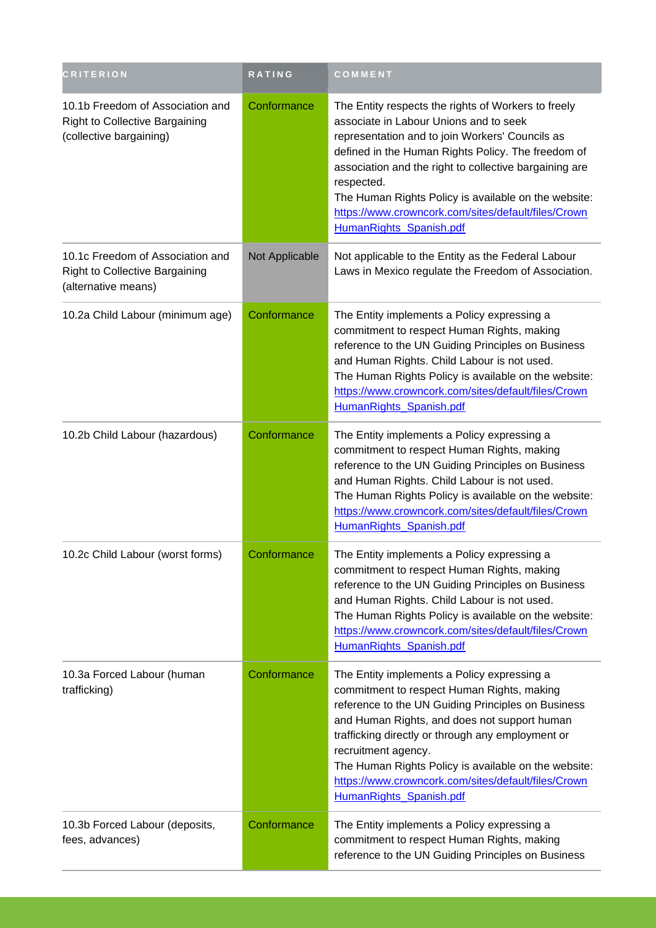| <b>CRITERION</b>                                                                                 | RATING         | COMMENT                                                                                                                                                                                                                                                                                                                                                                                                                  |
|--------------------------------------------------------------------------------------------------|----------------|--------------------------------------------------------------------------------------------------------------------------------------------------------------------------------------------------------------------------------------------------------------------------------------------------------------------------------------------------------------------------------------------------------------------------|
| 10.1b Freedom of Association and<br>Right to Collective Bargaining<br>(collective bargaining)    | Conformance    | The Entity respects the rights of Workers to freely<br>associate in Labour Unions and to seek<br>representation and to join Workers' Councils as<br>defined in the Human Rights Policy. The freedom of<br>association and the right to collective bargaining are<br>respected.<br>The Human Rights Policy is available on the website:<br>https://www.crowncork.com/sites/default/files/Crown<br>HumanRights Spanish.pdf |
| 10.1c Freedom of Association and<br><b>Right to Collective Bargaining</b><br>(alternative means) | Not Applicable | Not applicable to the Entity as the Federal Labour<br>Laws in Mexico regulate the Freedom of Association.                                                                                                                                                                                                                                                                                                                |
| 10.2a Child Labour (minimum age)                                                                 | Conformance    | The Entity implements a Policy expressing a<br>commitment to respect Human Rights, making<br>reference to the UN Guiding Principles on Business<br>and Human Rights. Child Labour is not used.<br>The Human Rights Policy is available on the website:<br>https://www.crowncork.com/sites/default/files/Crown<br>HumanRights_Spanish.pdf                                                                                 |
| 10.2b Child Labour (hazardous)                                                                   | Conformance    | The Entity implements a Policy expressing a<br>commitment to respect Human Rights, making<br>reference to the UN Guiding Principles on Business<br>and Human Rights. Child Labour is not used.<br>The Human Rights Policy is available on the website:<br>https://www.crowncork.com/sites/default/files/Crown<br>HumanRights_Spanish.pdf                                                                                 |
| 10.2c Child Labour (worst forms)                                                                 | Conformance    | The Entity implements a Policy expressing a<br>commitment to respect Human Rights, making<br>reference to the UN Guiding Principles on Business<br>and Human Rights. Child Labour is not used.<br>The Human Rights Policy is available on the website:<br>https://www.crowncork.com/sites/default/files/Crown<br>HumanRights Spanish.pdf                                                                                 |
| 10.3a Forced Labour (human<br>trafficking)                                                       | Conformance    | The Entity implements a Policy expressing a<br>commitment to respect Human Rights, making<br>reference to the UN Guiding Principles on Business<br>and Human Rights, and does not support human<br>trafficking directly or through any employment or<br>recruitment agency.<br>The Human Rights Policy is available on the website:<br>https://www.crowncork.com/sites/default/files/Crown<br>HumanRights_Spanish.pdf    |
| 10.3b Forced Labour (deposits,<br>fees, advances)                                                | Conformance    | The Entity implements a Policy expressing a<br>commitment to respect Human Rights, making<br>reference to the UN Guiding Principles on Business                                                                                                                                                                                                                                                                          |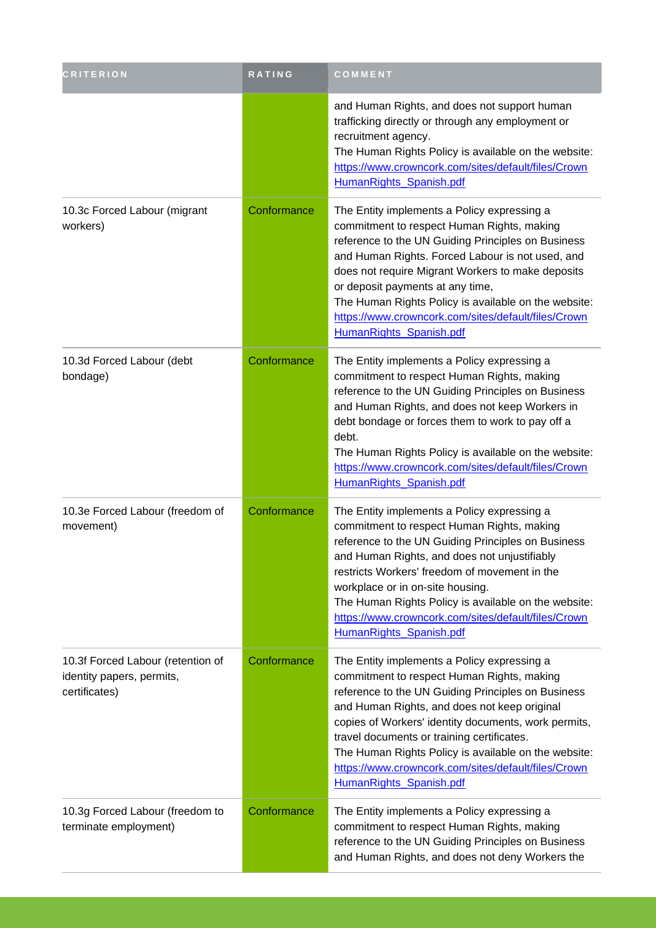| <b>CRITERION</b>                                                                | RATING      | COMMENT                                                                                                                                                                                                                                                                                                                                                                                                                                         |
|---------------------------------------------------------------------------------|-------------|-------------------------------------------------------------------------------------------------------------------------------------------------------------------------------------------------------------------------------------------------------------------------------------------------------------------------------------------------------------------------------------------------------------------------------------------------|
|                                                                                 |             | and Human Rights, and does not support human<br>trafficking directly or through any employment or<br>recruitment agency.<br>The Human Rights Policy is available on the website:<br>https://www.crowncork.com/sites/default/files/Crown<br>HumanRights_Spanish.pdf                                                                                                                                                                              |
| 10.3c Forced Labour (migrant<br>workers)                                        | Conformance | The Entity implements a Policy expressing a<br>commitment to respect Human Rights, making<br>reference to the UN Guiding Principles on Business<br>and Human Rights. Forced Labour is not used, and<br>does not require Migrant Workers to make deposits<br>or deposit payments at any time,<br>The Human Rights Policy is available on the website:<br>https://www.crowncork.com/sites/default/files/Crown<br>HumanRights Spanish.pdf          |
| 10.3d Forced Labour (debt<br>bondage)                                           | Conformance | The Entity implements a Policy expressing a<br>commitment to respect Human Rights, making<br>reference to the UN Guiding Principles on Business<br>and Human Rights, and does not keep Workers in<br>debt bondage or forces them to work to pay off a<br>debt.<br>The Human Rights Policy is available on the website:<br>https://www.crowncork.com/sites/default/files/Crown<br>HumanRights_Spanish.pdf                                        |
| 10.3e Forced Labour (freedom of<br>movement)                                    | Conformance | The Entity implements a Policy expressing a<br>commitment to respect Human Rights, making<br>reference to the UN Guiding Principles on Business<br>and Human Rights, and does not unjustifiably<br>restricts Workers' freedom of movement in the<br>workplace or in on-site housing.<br>The Human Rights Policy is available on the website:<br>https://www.crowncork.com/sites/default/files/Crown<br>HumanRights Spanish.pdf                  |
| 10.3f Forced Labour (retention of<br>identity papers, permits,<br>certificates) | Conformance | The Entity implements a Policy expressing a<br>commitment to respect Human Rights, making<br>reference to the UN Guiding Principles on Business<br>and Human Rights, and does not keep original<br>copies of Workers' identity documents, work permits,<br>travel documents or training certificates.<br>The Human Rights Policy is available on the website:<br>https://www.crowncork.com/sites/default/files/Crown<br>HumanRights_Spanish.pdf |
| 10.3g Forced Labour (freedom to<br>terminate employment)                        | Conformance | The Entity implements a Policy expressing a<br>commitment to respect Human Rights, making<br>reference to the UN Guiding Principles on Business<br>and Human Rights, and does not deny Workers the                                                                                                                                                                                                                                              |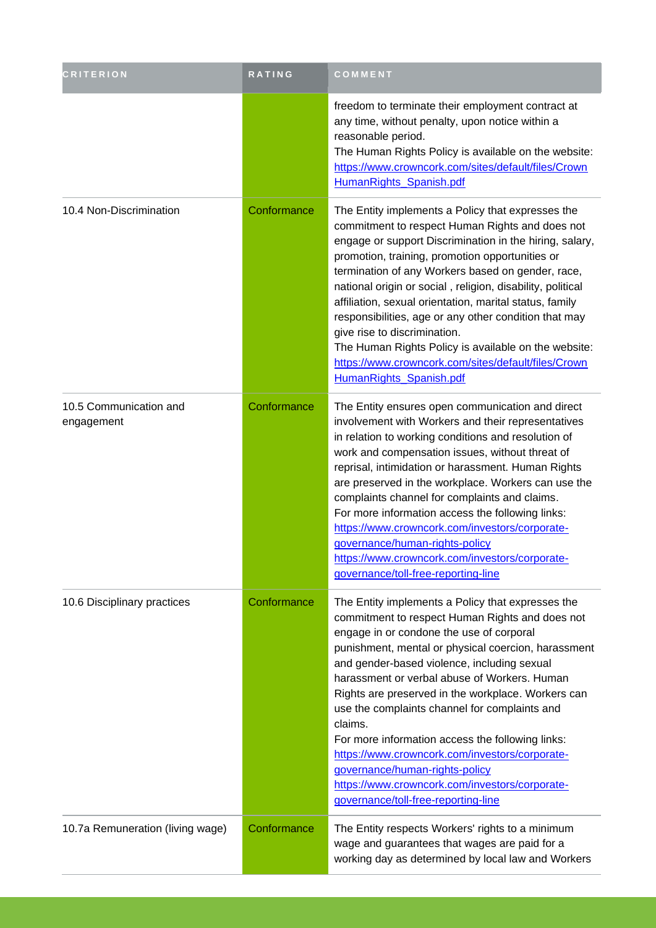| <b>CRITERION</b>                     | <b>RATING</b> | COMMENT                                                                                                                                                                                                                                                                                                                                                                                                                                                                                                                                                                                                                                                   |
|--------------------------------------|---------------|-----------------------------------------------------------------------------------------------------------------------------------------------------------------------------------------------------------------------------------------------------------------------------------------------------------------------------------------------------------------------------------------------------------------------------------------------------------------------------------------------------------------------------------------------------------------------------------------------------------------------------------------------------------|
|                                      |               | freedom to terminate their employment contract at<br>any time, without penalty, upon notice within a<br>reasonable period.<br>The Human Rights Policy is available on the website:<br>https://www.crowncork.com/sites/default/files/Crown<br>HumanRights_Spanish.pdf                                                                                                                                                                                                                                                                                                                                                                                      |
| 10.4 Non-Discrimination              | Conformance   | The Entity implements a Policy that expresses the<br>commitment to respect Human Rights and does not<br>engage or support Discrimination in the hiring, salary,<br>promotion, training, promotion opportunities or<br>termination of any Workers based on gender, race,<br>national origin or social, religion, disability, political<br>affiliation, sexual orientation, marital status, family<br>responsibilities, age or any other condition that may<br>give rise to discrimination.<br>The Human Rights Policy is available on the website:<br>https://www.crowncork.com/sites/default/files/Crown<br>HumanRights_Spanish.pdf                       |
| 10.5 Communication and<br>engagement | Conformance   | The Entity ensures open communication and direct<br>involvement with Workers and their representatives<br>in relation to working conditions and resolution of<br>work and compensation issues, without threat of<br>reprisal, intimidation or harassment. Human Rights<br>are preserved in the workplace. Workers can use the<br>complaints channel for complaints and claims.<br>For more information access the following links:<br>https://www.crowncork.com/investors/corporate-<br>governance/human-rights-policy<br>https://www.crowncork.com/investors/corporate-<br>governance/toll-free-reporting-line                                           |
| 10.6 Disciplinary practices          | Conformance   | The Entity implements a Policy that expresses the<br>commitment to respect Human Rights and does not<br>engage in or condone the use of corporal<br>punishment, mental or physical coercion, harassment<br>and gender-based violence, including sexual<br>harassment or verbal abuse of Workers. Human<br>Rights are preserved in the workplace. Workers can<br>use the complaints channel for complaints and<br>claims.<br>For more information access the following links:<br>https://www.crowncork.com/investors/corporate-<br>governance/human-rights-policy<br>https://www.crowncork.com/investors/corporate-<br>governance/toll-free-reporting-line |
| 10.7a Remuneration (living wage)     | Conformance   | The Entity respects Workers' rights to a minimum<br>wage and guarantees that wages are paid for a<br>working day as determined by local law and Workers                                                                                                                                                                                                                                                                                                                                                                                                                                                                                                   |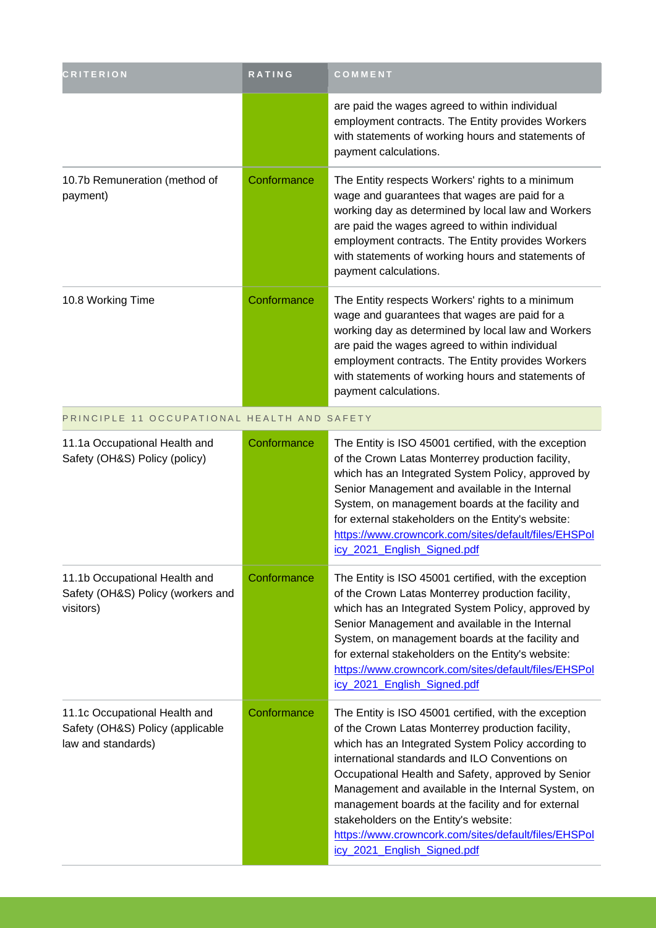| <b>CRITERION</b>                                                                        | RATING      | COMMENT                                                                                                                                                                                                                                                                                                                                                                                                                                                                                                               |
|-----------------------------------------------------------------------------------------|-------------|-----------------------------------------------------------------------------------------------------------------------------------------------------------------------------------------------------------------------------------------------------------------------------------------------------------------------------------------------------------------------------------------------------------------------------------------------------------------------------------------------------------------------|
|                                                                                         |             | are paid the wages agreed to within individual<br>employment contracts. The Entity provides Workers<br>with statements of working hours and statements of<br>payment calculations.                                                                                                                                                                                                                                                                                                                                    |
| 10.7b Remuneration (method of<br>payment)                                               | Conformance | The Entity respects Workers' rights to a minimum<br>wage and guarantees that wages are paid for a<br>working day as determined by local law and Workers<br>are paid the wages agreed to within individual<br>employment contracts. The Entity provides Workers<br>with statements of working hours and statements of<br>payment calculations.                                                                                                                                                                         |
| 10.8 Working Time                                                                       | Conformance | The Entity respects Workers' rights to a minimum<br>wage and guarantees that wages are paid for a<br>working day as determined by local law and Workers<br>are paid the wages agreed to within individual<br>employment contracts. The Entity provides Workers<br>with statements of working hours and statements of<br>payment calculations.                                                                                                                                                                         |
| PRINCIPLE 11 OCCUPATIONAL HEALTH AND SAFETY                                             |             |                                                                                                                                                                                                                                                                                                                                                                                                                                                                                                                       |
| 11.1a Occupational Health and<br>Safety (OH&S) Policy (policy)                          | Conformance | The Entity is ISO 45001 certified, with the exception<br>of the Crown Latas Monterrey production facility,<br>which has an Integrated System Policy, approved by<br>Senior Management and available in the Internal<br>System, on management boards at the facility and<br>for external stakeholders on the Entity's website:<br>https://www.crowncork.com/sites/default/files/EHSPol<br>icy 2021 English Signed.pdf                                                                                                  |
| 11.1b Occupational Health and<br>Safety (OH&S) Policy (workers and<br>visitors)         | Conformance | The Entity is ISO 45001 certified, with the exception<br>of the Crown Latas Monterrey production facility,<br>which has an Integrated System Policy, approved by<br>Senior Management and available in the Internal<br>System, on management boards at the facility and<br>for external stakeholders on the Entity's website:<br>https://www.crowncork.com/sites/default/files/EHSPol<br>icy_2021_English_Signed.pdf                                                                                                  |
| 11.1c Occupational Health and<br>Safety (OH&S) Policy (applicable<br>law and standards) | Conformance | The Entity is ISO 45001 certified, with the exception<br>of the Crown Latas Monterrey production facility,<br>which has an Integrated System Policy according to<br>international standards and ILO Conventions on<br>Occupational Health and Safety, approved by Senior<br>Management and available in the Internal System, on<br>management boards at the facility and for external<br>stakeholders on the Entity's website:<br>https://www.crowncork.com/sites/default/files/EHSPol<br>icy_2021_English_Signed.pdf |